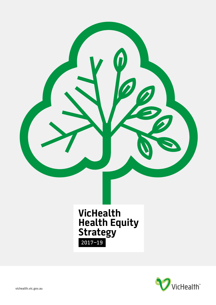

**VicHealth Health Equity Strategy**  2017–19

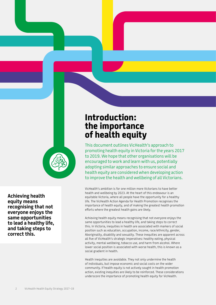

**Achieving health equity means recognising that not everyone enjoys the same opportunities to lead a healthy life, and taking steps to correct this.**

# **Introduction: the importance of health equity**

This document outlines VicHealth's approach to promoting health equity in Victoria for the years 2017 to 2019. We hope that other organisations will be encouraged to work and learn with us, potentially adopting similar approaches to ensure social and health equity are considered when developing action to improve the health and wellbeing of all Victorians.

VicHealth's ambition is for one million more Victorians to have better health and wellbeing by 2023. At the heart of this endeavour is an equitable Victoria, where all people have the opportunity for a healthy life. The VicHealth Action Agenda for Health Promotion recognises the importance of health equity, and of making the greatest health promotion efforts where the greatest health gains are likely.

Achieving health equity means recognising that not everyone enjoys the same opportunities to lead a healthy life, and taking steps to correct this. In Victoria, inequities in health are associated with markers of social position such as education, occupation, income, race/ethnicity, gender, Aboriginality, disability and sexuality. These inequities are apparent across all five of VicHealth's strategic imperatives: healthy eating, physical activity, mental wellbeing, tobacco use, and harm from alcohol. Where lower social position is associated with worse health, this is known as a social gradient in health.

Health inequities are avoidable. They not only undermine the health of individuals, but impose economic and social costs on the wider community. If health equity is not actively sought in health promotion action, existing inequities are likely to be reinforced. These considerations underscore the importance of promoting health equity for VicHealth.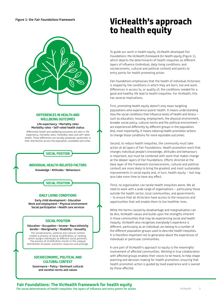

#### **DIFFERENCES IN HEALTH AND WELLBEING OUTCOMES**

**Life expectancy • Mortality rates Morbidity rates • Self-rated health status**

Differential health and wellbeing outcomes are seen in life expectancy, mortality rates, morbidity rates and self-rated health. These differences are socially produced, systematic in their distribution across the population, avoidable and unfair.

## **SOCIAL POSITION**

#### **INDIVIDUAL HEALTH-RELATED FACTORS**

**Knowledge • Attitudes • Behaviours**

### **SOCIAL POSITION**

#### **DAILY LIVING CONDITIONS**

**Early child development • Education Work and employment • Physical environment Social participation • Health care services**

#### **SOCIAL POSITION**

**Education • Occupation • Income • Race/ethnicity Gender • Aboriginality • Disability • Sexuality** The socioeconomic, political and cultural context

creates a process of social stratification, or ranking, which assigns individuals to different social positions. The process of stratification results in the unequal distribution of power, economic resources and prestige.

#### **SOCIOECONOMIC, POLITICAL AND CULTURAL CONTEXT**

**Governance • Policy • Dominant cultural and societal norms and values**

# **VicHealth's approach to health equity**

To guide our work in health equity, VicHealth developed *Fair Foundations: the VicHealth framework for health equity* (Figure 1), which depicts the determinants of health inequities as different layers of influence (individual; daily living conditions; and socioeconomic, cultural and political context) and points to entry points for health promoting action.

*Fair Foundations* emphasises that the health of individual Victorians is shaped by the conditions in which they are born, live and work. Differences in access to, or quality of, the conditions needed for a good and healthy life lead to health inequities. For VicHealth, this has several implications.

First, promoting health equity doesn't only mean targeting populations who experience poorer health. It means understanding how the social conditions that influence levels of health and illness – such as education, housing, employment, the physical environment, broader social policy, cultural norms and the political environment – are experienced differently by different groups in the population. And, most importantly, it means tailoring health promotion actions to change those conditions for more equitable outcomes.

Second, to reduce health inequities, the community must take action at all layers of Fair Foundations. Health promotion work that changes individual people's knowledge, attitudes and behaviours is important, but must be combined with work that makes change at the deeper layers of *Fair Foundations*. Efforts directed at the base layer of the framework (socioeconomic, cultural and political context) are more likely to bring the greatest and most sustainable improvements in social equity and, in turn, health equity – but may also take more time to have any effect.

Third, no organisation can tackle health inequities alone. We all need to work with a wide range of organisations – particularly those outside the health sector, local communities, and governments – to ensure that all Victorians have access to the resources and opportunities that will enable them to live healthier lives.

While the harms caused by disadvantage and marginalisation can be dire, VicHealth values and builds upon the strengths inherent in those communities that may be experiencing social and health inequity. VicHealth also recognises everybody's experience is different, particularly as an individual can belong to a number of the different population groups used to describe health inequities. It is therefore important not to generalise about the experiences of individuals or particular communities.

A core part of VicHealth's approach to equity is the meaningful involvement of affected communities. Working in true collaboration with affected groups enables their voices to be heard, to help shape planning and decision-making for health promotion, ensuring that health promotion action is guided by lived experience and is owned by those affected.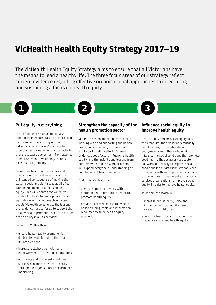# **VicHealth Health Equity Strategy 2017–19**

The VicHealth Health Equity Strategy aims to ensure that all Victorians have the means to lead a healthy life. The three focus areas of our strategy reflect current evidence regarding effective organisational approaches to integrating and sustaining a focus on health equity.

# **1 2 3**

### **Put equity in everything**

In all of VicHealth's areas of activity, differences in health status are influenced by the social position of groups and individuals. Whether we're aiming to promote healthy eating or physical activity, prevent tobacco use or harm from alcohol, or improve mental wellbeing, there is a clear social gradient.

To improve health in these areas and to ensure our work does not have the unintended consequence of making the existing social gradient steeper, all of our work needs to adopt a focus on health equity. This will ensure that we deliver benefits to the Victorian population in an equitable way. This approach will also enable VicHealth to generate the lessons and evidence needed for us to support the broader health promotion sector to include health equity in all its activities.

To do this, VicHealth will:

- ensure health equity promotion is deliberate, explicit and routine in all its interventions
- increase collaboration with, and empowerment of, affected communities
- encourage and document efforts and successes in improving health equity, through our organisational performance monitoring.

### **Strengthen the capacity of the health promotion sector**

VicHealth has an important role to play in working with and supporting the health promotion community to make health equity part of all its efforts. Sharing evidence about factors influencing health equity, and the insights and lessons from our own work and the work of others, will expand everyone's understanding of how to correct health inequities.

To do this, VicHealth will:

- engage, support and work with the Victorian health promotion sector to promote health equity
- provide increased access to evidencebased training, tools and information resources to guide health equity promotion.

### **Influence social equity to improve health equity**

Health equity mirrors social equity. It is therefore vital that we identify mutually beneficial ways to collaborate with policymakers and others who work to influence the social conditions that promote good health. The social services sector has worked tirelessly to improve social conditions for all Victorians. We can learn from, work with and support efforts made by the Victorian Government and by social services organisations to improve social equity, in order to improve health equity.

To do this, VicHealth will:

- increase our visibility, voice and influence on social equity issues relevant to public health
- form partnerships and coalitions to advance social and health equity.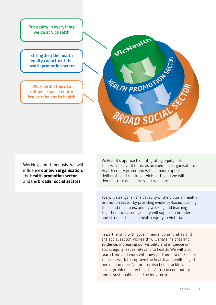**Put equity in everything we do at VicHealth**

**Strengthen the health equity capacity of the health promotion sector**

**Work with others to influence social equity issues relevant to health**

VicHealth **FRALTH PROMOTION** SROAD SOCIALS

Working simultaneously, we will influence **our own organisation**, the **health promotion sector** and the **broader social sectors**.

VicHealth's approach of integrating equity into all that we do is vital for us as an exemplar organisation. Health equity promotion will be made explicit, deliberate and routine at VicHealth, and we will demonstrate and share what we learn.

We will strengthen the capacity of the Victorian health promotion sector by providing evidence-based training, tools and resources, and by working and learning together. Increased capacity will support a broader and stronger focus on health equity in Victoria.

In partnership with governments, communities and the social sector, VicHealth will share insights and evidence, increasing our visibility and influence on social equity issues relevant to health. We will also learn from and work with new partners, to make sure that our work to improve the health and wellbeing of one million more Victorians also helps tackle wider social problems affecting the Victorian community and is sustainable over the long term.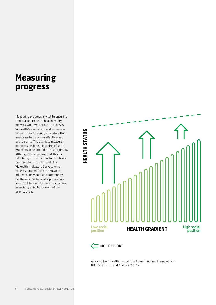# **Measuring progress**

Measuring progress is vital to ensuring that our approach to health equity delivers what we set out to achieve. VicHealth's evaluation system uses a series of health equity indicators that enable us to track the effectiveness of programs. The ultimate measure of success will be a levelling of social gradients in health indicators (Figure 3). Although we recognise that this will take time, it is still important to track progress towards this goal. The VicHealth Indicators Survey, which collects data on factors known to influence individual and community wellbeing in Victoria at a population level, will be used to monitor changes in social gradients for each of our priority areas.



Adapted from Health Inequalities Commissioning Framework – NHS Kensington and Chelsea (2011)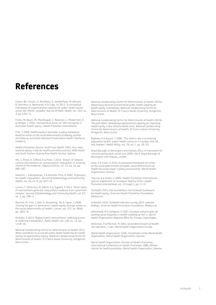# **References**

Cohen, BE, Schultz, A, McGibbon, E, VanderPlaat, M, Bassett, R, GermAnn, K, Beanlands, H & Fuga, LA 2013, 'A conceptual framework of organizational capacity for public health equity action (OC-PHEA)', *Canadian Journal of Public Health*, vol. 104, no. 3, pp. e262–6.

Fisher, M, Baum, FE, MacDougall, C, Newman, L, McDermott, D & Phillips, C 2016, 'Intersectoral action on SDH and equity in Australian health policy', *Health Promotion International*.

Friel, S 2009, *Health equity in Australia: a policy framework based on action on the social determinants of obesity, alcohol and tobacco*, Australian National Preventative Health Taskforce, Canberra.

Health Promotion Service, South East Health 2003, *Four steps towards equity: a tool for health promotion practice*, NSW Health and South Eastern Sydney Area Health Service, Sydney.

Hill, S, Amos, A, Clifford, D & Platt, S 2014, 'Impact of tobacco control interventions on socioeconomic inequalities in smoking: review of the evidence', *Tobacco Control*, vol. 23, no. e2, pp. e89–e97.

Kawachi, I, Subramanian, S & Almeida-Filho, N 2002, 'A glossary for health inequalities', *Journal of Epidemiology and Community Health*, vol. 56, no. 9, pp. 647–52.

Lorenc, T, Petticrew, M, Welch, V & Tugwell, P 2013, 'What types of interventions generate inequalities? evidence from systematic reviews', *Journal of Epidemiology and Community Health*, vol. 67, no. 2, pp. 190–3.

Marmot, M, Friel, S, Bell, R, Houweling, TAJ & Taylor, S 2008, 'Closing the gap in a generation: health equity through action on the social determinants of health', *Lancet*, vol. 372, no. 9650, pp. 1661–9.

McAuley, A 2014, 'Digital health interventions: widening access or widening inequalities?', *Public Health*, vol. 128, no. 12, pp. 1118–20.

National Collaborating Centre for Determinants of Health 2013, *What contributes to successful public health leadership for health equity? an appreciative inquiry*, National Collaborating Centre for Determinants of Health, St Francis Xavier University, Antigonish, Nova Scotia.

National Collaborating Centre for Determinants of Health 2015a, *Advancing provincial and territorial public health capacity for health equity: proceedings*, National Collaborating Centre for Determinants of Health, St Francis Xavier University, Antigonish, Nova Scotia.

National Collaborating Centre for Determinants of Health 2015b, *The path taken: developing organizational capacity for improving health equity in four Ontario health units*, National Collaborating Centre for Determinants of Health, St Francis Xavier University, Antigonish, Nova Scotia.

Raphael, D & Bryant, T 2006, 'The state's role in promoting population health: public health concerns in Canada, USA, UK, and Sweden', *Health Policy*, vol. 78, no. 1, pp. 39–55.

Royal Borough of Kensington and Chelsea 2011, A framework for commissioning adult social care 2009–2014, Royal Borough of Kensington and Chelsea, London.

Solar, O & Irwin, A 2010, *A conceptual framework for action on the social determinants of health: social determinants of health discussion paper 2 (policy and practice)*, World Health Organization, Geneva.

Tsouros, A & Green, G 2009, 'Health Promotion International: special supplement on European Healthy Cities', *Health Promotion International*, vol. 24 Suppl 1, pp. i1–i3.

VicHealth 2015, *Fair Foundations: the VicHealth framework for health equity*, Victorian Health Promotion Foundation, Melbourne.

VicHealth 2016, *VicHealth indicators survey 2015: selected findings*, Victorian Health Promotion Foundation, Melbourne.

Whitehead, M & Dahlgren, G 2007, *Concepts and principles for tackling social inequities in health: levelling up Part 1*, World Health Organization Regional Office for Europe, Copenhagen.

Wilkinson, R & Marmot, M 2003, *Social determinants of health: the solid facts*, 2 edn, World Health Organization Europe.

World Health Organization 1948, *Constitution of the World Health Organization*, World Health Organization, Geneva.

World Health Organization, Division of Health Promotion, International Conference on Health Promotion 1986, *Ottawa charter for health promotion*, World Health Organization, Geneva.